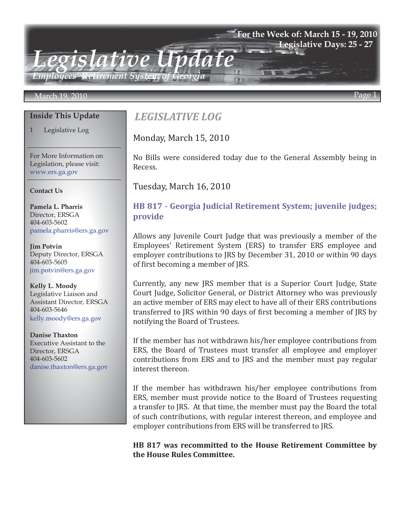#### **For the Week of: March 15 - 19, 2010 Legislative Days: 25 - 27**

*Employees' Retirement System of Georgia*

#### March 19, 2010 Page 1

#### **Inside This Update**

1 Legislative Log

For More Information on Legislation, please visit: www.ers.ga.gov

#### **Contact Us**

**Pamela L. Pharris** Director, ERSGA 404-603-5602 pamela.pharris@ers.ga.gov

**Jim Potvin** Deputy Director, ERSGA 404-603-5605 jim.potvin@ers.ga.gov

**Kelly L. Moody** Legislative Liaison and Assistant Director, ERSGA 404-603-5646 kelly.moody@ers.ga.gov

**Danise Thaxton** Executive Assistant to the Director, ERSGA 404-603-5602 danise.thaxton@ers.ga.gov

# *LEGISLATIVE LOG*

*Legislative Update*

Monday, March 15, 2010

No Bills were considered today due to the General Assembly being in Recess.

Tuesday, March 16, 2010

## **[HB 817 - Georgia Judicial Retirement System; juvenile judges;](http://www.legis.ga.gov/legis/2009_10/sum/hb817.htm)  provide**

Allows any Juvenile Court Judge that was previously a member of the Employees' Retirement System (ERS) to transfer ERS employee and employer contributions to JRS by December 31, 2010 or within 90 days of first becoming a member of JRS.

Currently, any new JRS member that is a Superior Court Judge, State Court Judge, Solicitor General, or District Attorney who was previously an active member of ERS may elect to have all of their ERS contributions transferred to JRS within 90 days of first becoming a member of JRS by notifying the Board of Trustees.

If the member has not withdrawn his/her employee contributions from ERS, the Board of Trustees must transfer all employee and employer contributions from ERS and to JRS and the member must pay regular interest thereon.

If the member has withdrawn his/her employee contributions from ERS, member must provide notice to the Board of Trustees requesting a transfer to JRS. At that time, the member must pay the Board the total of such contributions, with regular interest thereon, and employee and employer contributions from ERS will be transferred to JRS.

#### **HB 817 was recommitted to the House Retirement Committee by the House Rules Committee.**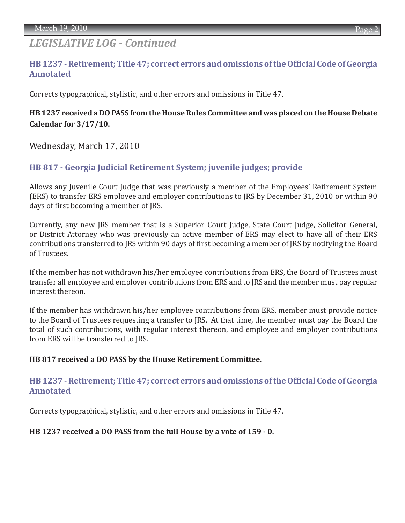# *LEGISLATIVE LOG - Continued*

## **[HB 1237 - Retirement; Title 47; correct errors and omissions of the Official Code of Georgia](http://www.legis.ga.gov/legis/2009_10/sum/hb1237.htm)  Annotated**

Corrects typographical, stylistic, and other errors and omissions in Title 47.

## **HB 1237 received a DO PASS from the House Rules Committee and was placed on the House Debate Calendar for 3/17/10.**

Wednesday, March 17, 2010

### **[HB 817 - Georgia Judicial Retirement System; juvenile judges; provide](http://www.legis.ga.gov/legis/2009_10/sum/hb817.htm)**

Allows any Juvenile Court Judge that was previously a member of the Employees' Retirement System (ERS) to transfer ERS employee and employer contributions to JRS by December 31, 2010 or within 90 days of first becoming a member of JRS.

Currently, any new JRS member that is a Superior Court Judge, State Court Judge, Solicitor General, or District Attorney who was previously an active member of ERS may elect to have all of their ERS contributions transferred to JRS within 90 days of first becoming a member of JRS by notifying the Board of Trustees.

If the member has not withdrawn his/her employee contributions from ERS, the Board of Trustees must transfer all employee and employer contributions from ERS and to JRS and the member must pay regular interest thereon.

If the member has withdrawn his/her employee contributions from ERS, member must provide notice to the Board of Trustees requesting a transfer to JRS. At that time, the member must pay the Board the total of such contributions, with regular interest thereon, and employee and employer contributions from ERS will be transferred to JRS.

#### **HB 817 received a DO PASS by the House Retirement Committee.**

#### **[HB 1237 - Retirement; Title 47; correct errors and omissions of the Official Code of Georgia](http://www.legis.ga.gov/legis/2009_10/sum/hb1237.htm)  Annotated**

Corrects typographical, stylistic, and other errors and omissions in Title 47.

#### **HB 1237 received a DO PASS from the full House by a vote of 159 - 0.**